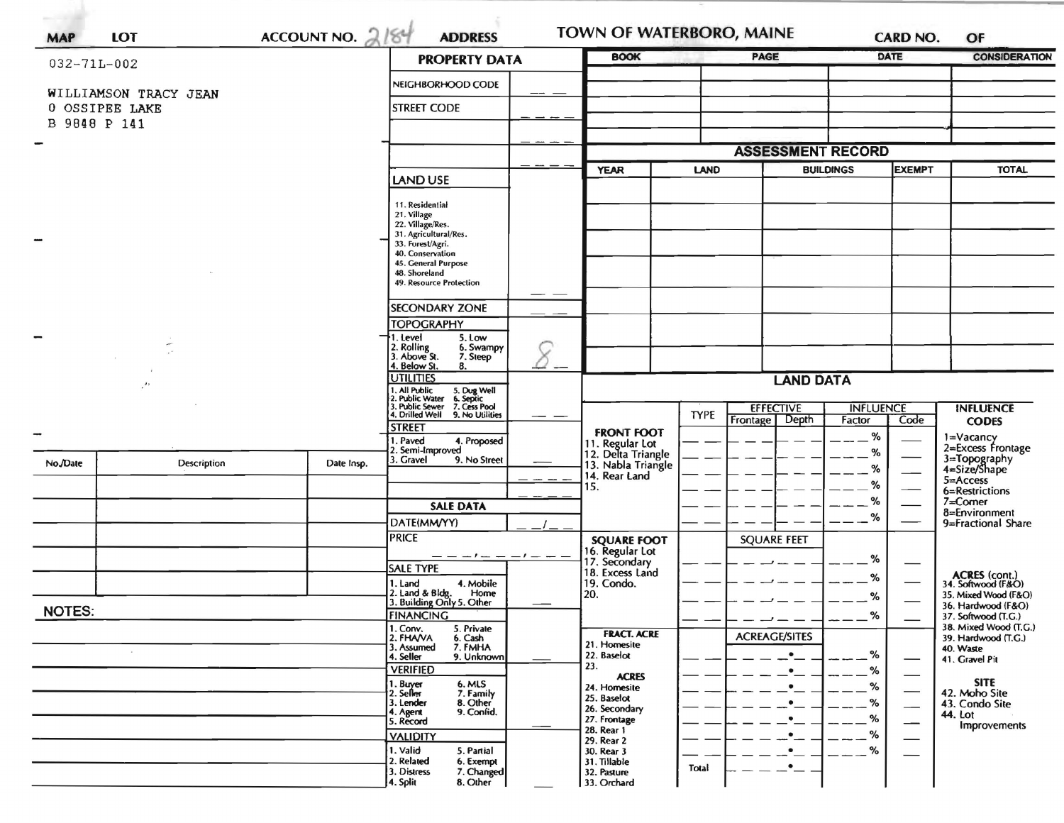|                   |                       | <b>PROPERTY DATA</b>                                                                 | <b>BOOK</b>                                                                                                                                    |  | <b>PAGE</b>                           |             | <b>DATE</b>          | <b>CONSIDERATION</b>              |      |                                              |  |
|-------------------|-----------------------|--------------------------------------------------------------------------------------|------------------------------------------------------------------------------------------------------------------------------------------------|--|---------------------------------------|-------------|----------------------|-----------------------------------|------|----------------------------------------------|--|
| $032 - 71L - 002$ |                       |                                                                                      |                                                                                                                                                |  |                                       |             |                      |                                   |      |                                              |  |
|                   | WILLIAMSON TRACY JEAN |                                                                                      | NEIGHBORHOOD CODE                                                                                                                              |  |                                       |             |                      |                                   |      |                                              |  |
| 0 OSSIPEE LAKE    |                       |                                                                                      | <b>STREET CODE</b>                                                                                                                             |  |                                       |             |                      |                                   |      |                                              |  |
| B 9848 P 141      |                       |                                                                                      |                                                                                                                                                |  |                                       |             |                      |                                   |      |                                              |  |
|                   |                       |                                                                                      |                                                                                                                                                |  | <b>ASSESSMENT RECORD</b>              |             |                      |                                   |      |                                              |  |
|                   |                       |                                                                                      |                                                                                                                                                |  | <b>YEAR</b><br><b>LAND</b>            |             |                      | <b>EXEMPT</b><br><b>BUILDINGS</b> |      | <b>TOTAL</b>                                 |  |
|                   |                       |                                                                                      | <b>LAND USE</b>                                                                                                                                |  |                                       |             |                      |                                   |      |                                              |  |
|                   |                       |                                                                                      | 11. Residential                                                                                                                                |  |                                       |             |                      |                                   |      |                                              |  |
|                   |                       |                                                                                      | 21. Village<br>22. Village/Res.                                                                                                                |  |                                       |             |                      |                                   |      |                                              |  |
|                   |                       | 31. Agricultural/Res.<br>33. Forest/Agri.<br>40. Conservation<br>45. General Purpose |                                                                                                                                                |  |                                       |             |                      |                                   |      |                                              |  |
|                   |                       |                                                                                      |                                                                                                                                                |  |                                       |             |                      |                                   |      |                                              |  |
|                   |                       | 48. Shoreland<br>49. Resource Protection                                             |                                                                                                                                                |  |                                       |             |                      |                                   |      |                                              |  |
|                   |                       |                                                                                      |                                                                                                                                                |  |                                       |             |                      |                                   |      |                                              |  |
|                   |                       |                                                                                      | <b>SECONDARY ZONE</b><br><b>TOPOGRAPHY</b>                                                                                                     |  |                                       |             |                      |                                   |      |                                              |  |
|                   |                       |                                                                                      | 1. Level<br>5. Low                                                                                                                             |  |                                       |             |                      |                                   |      |                                              |  |
|                   |                       |                                                                                      | 2. Rolling<br>3. Above St.<br>6. Swampy<br>7. Steep                                                                                            |  |                                       |             |                      |                                   |      |                                              |  |
|                   |                       |                                                                                      | 4. Below St.<br>8.<br><b>UTILITIES</b>                                                                                                         |  | <b>LAND DATA</b>                      |             |                      |                                   |      |                                              |  |
| $\mathcal{F}$     |                       |                                                                                      |                                                                                                                                                |  |                                       |             |                      |                                   |      |                                              |  |
|                   |                       |                                                                                      | 1. All Public 5. Dug Well<br>12. Public Water 6. Septic<br>3. Public Sewer 7. Cess Pool<br>14. Drilled Well 9. No Utilities<br>9. No Utilities |  | <b>FRONT FOOT</b>                     | <b>TYPE</b> | <b>EFFECTIVE</b>     | <b>INFLUENCE</b>                  |      | <b>INFLUENCE</b>                             |  |
|                   |                       |                                                                                      | <b>STREET</b>                                                                                                                                  |  |                                       |             | Frontage   Depth     | Factor<br>%                       | Code | <b>CODES</b>                                 |  |
|                   |                       |                                                                                      | 1. Paved<br>4. Proposed<br>2. Semi-Improved                                                                                                    |  | 11. Regular Lot<br>12. Delta Triangle |             |                      | %                                 |      | 1=Vacancy<br>2=Excess Frontage               |  |
| No./Date          | Description           | Date Insp.                                                                           | 3. Gravel<br>9. No Street                                                                                                                      |  | 13. Nabla Triangle                    |             |                      | %                                 |      | 3=Topography<br>4=Size/Shape                 |  |
|                   |                       |                                                                                      |                                                                                                                                                |  | 14. Rear Land<br>15.                  |             |                      | %                                 |      | 5=Access<br>6=Restrictions                   |  |
|                   |                       |                                                                                      | <b>SALE DATA</b>                                                                                                                               |  |                                       |             |                      | %                                 |      | $7 =$ Corner                                 |  |
|                   |                       |                                                                                      | DATE(MM/YY)                                                                                                                                    |  |                                       |             |                      | %                                 |      | 8=Environment<br>9=Fractional Share          |  |
|                   |                       |                                                                                      | <b>PRICE</b>                                                                                                                                   |  | <b>SQUARE FOOT</b>                    |             | <b>SQUARE FEET</b>   |                                   |      |                                              |  |
|                   |                       |                                                                                      |                                                                                                                                                |  | 16. Regular Lot<br>17. Secondary      |             |                      | %                                 |      |                                              |  |
|                   |                       |                                                                                      | <b>SALE TYPE</b><br>1. Land<br>4. Mobile                                                                                                       |  | 18. Excess Land<br>19. Condo.         |             |                      | %                                 |      | <b>ACRES</b> (cont.)<br>34. Softwood (F&O)   |  |
|                   |                       |                                                                                      | 2. Land & Bldg. Home<br>3. Building Only 5. Other<br>Home                                                                                      |  | 20.                                   |             |                      | %                                 |      | 35. Mixed Wood (F&O)                         |  |
| <b>NOTES:</b>     |                       |                                                                                      | <b>FINANCING</b>                                                                                                                               |  |                                       |             |                      | $\alpha$                          |      | 36. Hardwood (F&O)<br>37. Softwood (T.G.)    |  |
|                   |                       |                                                                                      | 1. Conv.<br>5. Private<br>2. FHAVA<br>6. Cash                                                                                                  |  | <b>FRACT. ACRE</b>                    |             | <b>ACREAGE/SITES</b> |                                   |      | 38. Mixed Wood (T.G.)<br>39. Hardwood (T.G.) |  |
|                   |                       |                                                                                      | 7. FMHA<br>3. Assumed<br>9. Unknown<br>4. Seller                                                                                               |  | 21. Homesite<br>22. Baselot           |             | $\bullet$            | %                                 |      | 40. Waste<br>41. Gravel Pit                  |  |
|                   |                       |                                                                                      | <b>VERIFIED</b>                                                                                                                                |  | 23.<br><b>ACRES</b>                   |             | $\bullet$            | %                                 | —    |                                              |  |
|                   |                       |                                                                                      | 1. Buyer<br>2. Seller<br>6. MLS<br>7. Family                                                                                                   |  | 24. Homesite                          |             | $\bullet$            | %                                 |      | <b>SITE</b><br>42. Moho Site                 |  |
|                   |                       |                                                                                      | 8. Other<br>3. Lender<br>9. Confid.<br>4. Agent                                                                                                |  | 25. Baselot<br>26. Secondary          |             |                      | %                                 |      | 43. Condo Site<br>44. Lot                    |  |
|                   |                       |                                                                                      | 5. Record                                                                                                                                      |  | 27. Frontage<br>28. Rear 1            |             |                      | %                                 |      | <b>Improvements</b>                          |  |
|                   |                       |                                                                                      | <b>VALIDITY</b><br>1. Valid<br>5. Partial                                                                                                      |  | 29. Rear 2<br>30. Rear 3              |             |                      | ℅<br>%                            |      |                                              |  |
|                   |                       |                                                                                      | 2. Related<br>6. Exempt                                                                                                                        |  | 31. Tillable                          | Total       |                      |                                   |      |                                              |  |
|                   |                       |                                                                                      | 3. Distress<br>7. Changed<br>4. Split<br>8. Other                                                                                              |  | 32. Pasture<br>33. Orchard            |             |                      |                                   |      |                                              |  |